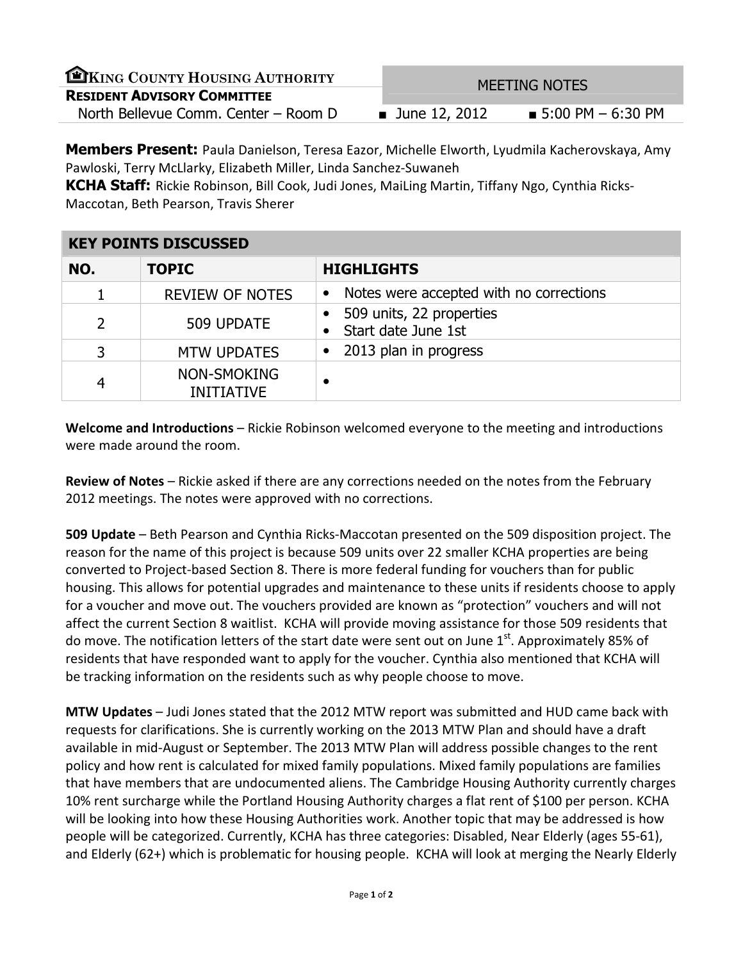| EKING COUNTY HOUSING AUTHORITY       | <b>MEETING NOTES</b>         |                                  |
|--------------------------------------|------------------------------|----------------------------------|
| <b>RESIDENT ADVISORY COMMITTEE</b>   |                              |                                  |
| North Bellevue Comm. Center - Room D | $\blacksquare$ June 12, 2012 | $\blacksquare$ 5:00 PM – 6:30 PM |

**Members Present:** Paula Danielson, Teresa Eazor, Michelle Elworth, Lyudmila Kacherovskaya, Amy Pawloski, Terry McLlarky, Elizabeth Miller, Linda Sanchez-Suwaneh

KCHA Staff: Rickie Robinson, Bill Cook, Judi Jones, MaiLing Martin, Tiffany Ngo, Cynthia Ricks-Maccotan, Beth Pearson, Travis Sherer

| <b>KEY POINTS DISCUSSED</b> |                                  |                                                      |
|-----------------------------|----------------------------------|------------------------------------------------------|
| NO.                         | <b>TOPIC</b>                     | <b>HIGHLIGHTS</b>                                    |
|                             | <b>REVIEW OF NOTES</b>           | Notes were accepted with no corrections<br>$\bullet$ |
| $\overline{2}$              | 509 UPDATE                       | 509 units, 22 properties<br>Start date June 1st      |
| 3                           | <b>MTW UPDATES</b>               | 2013 plan in progress<br>$\bullet$                   |
| 4                           | NON-SMOKING<br><b>INITIATIVE</b> |                                                      |

Welcome and Introductions – Rickie Robinson welcomed everyone to the meeting and introductions were made around the room.

Review of Notes – Rickie asked if there are any corrections needed on the notes from the February 2012 meetings. The notes were approved with no corrections.

509 Update – Beth Pearson and Cynthia Ricks-Maccotan presented on the 509 disposition project. The reason for the name of this project is because 509 units over 22 smaller KCHA properties are being converted to Project-based Section 8. There is more federal funding for vouchers than for public housing. This allows for potential upgrades and maintenance to these units if residents choose to apply for a voucher and move out. The vouchers provided are known as "protection" vouchers and will not affect the current Section 8 waitlist. KCHA will provide moving assistance for those 509 residents that do move. The notification letters of the start date were sent out on June  $1<sup>st</sup>$ . Approximately 85% of residents that have responded want to apply for the voucher. Cynthia also mentioned that KCHA will be tracking information on the residents such as why people choose to move.

MTW Updates – Judi Jones stated that the 2012 MTW report was submitted and HUD came back with requests for clarifications. She is currently working on the 2013 MTW Plan and should have a draft available in mid-August or September. The 2013 MTW Plan will address possible changes to the rent policy and how rent is calculated for mixed family populations. Mixed family populations are families that have members that are undocumented aliens. The Cambridge Housing Authority currently charges 10% rent surcharge while the Portland Housing Authority charges a flat rent of \$100 per person. KCHA will be looking into how these Housing Authorities work. Another topic that may be addressed is how people will be categorized. Currently, KCHA has three categories: Disabled, Near Elderly (ages 55-61), and Elderly (62+) which is problematic for housing people. KCHA will look at merging the Nearly Elderly